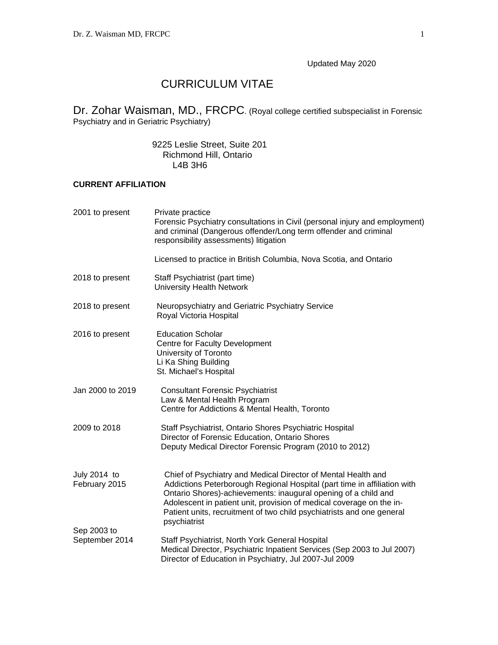Updated May 2020

# CURRICULUM VITAE

Dr. Zohar Waisman, MD., FRCPC. (Royal college certified subspecialist in Forensic Psychiatry and in Geriatric Psychiatry)

> 9225 Leslie Street, Suite 201 Richmond Hill, Ontario L4B 3H6

## **CURRENT AFFILIATION**

| 2001 to present               | Private practice<br>Forensic Psychiatry consultations in Civil (personal injury and employment)<br>and criminal (Dangerous offender/Long term offender and criminal<br>responsibility assessments) litigation                                                                                                                                                                |
|-------------------------------|------------------------------------------------------------------------------------------------------------------------------------------------------------------------------------------------------------------------------------------------------------------------------------------------------------------------------------------------------------------------------|
|                               | Licensed to practice in British Columbia, Nova Scotia, and Ontario                                                                                                                                                                                                                                                                                                           |
| 2018 to present               | Staff Psychiatrist (part time)<br>University Health Network                                                                                                                                                                                                                                                                                                                  |
| 2018 to present               | Neuropsychiatry and Geriatric Psychiatry Service<br>Royal Victoria Hospital                                                                                                                                                                                                                                                                                                  |
| 2016 to present               | <b>Education Scholar</b><br>Centre for Faculty Development<br>University of Toronto<br>Li Ka Shing Building<br>St. Michael's Hospital                                                                                                                                                                                                                                        |
| Jan 2000 to 2019              | <b>Consultant Forensic Psychiatrist</b><br>Law & Mental Health Program<br>Centre for Addictions & Mental Health, Toronto                                                                                                                                                                                                                                                     |
| 2009 to 2018                  | Staff Psychiatrist, Ontario Shores Psychiatric Hospital<br>Director of Forensic Education, Ontario Shores<br>Deputy Medical Director Forensic Program (2010 to 2012)                                                                                                                                                                                                         |
| July 2014 to<br>February 2015 | Chief of Psychiatry and Medical Director of Mental Health and<br>Addictions Peterborough Regional Hospital (part time in affiliation with<br>Ontario Shores)-achievements: inaugural opening of a child and<br>Adolescent in patient unit, provision of medical coverage on the in-<br>Patient units, recruitment of two child psychiatrists and one general<br>psychiatrist |
| Sep 2003 to<br>September 2014 | Staff Psychiatrist, North York General Hospital<br>Medical Director, Psychiatric Inpatient Services (Sep 2003 to Jul 2007)<br>Director of Education in Psychiatry, Jul 2007-Jul 2009                                                                                                                                                                                         |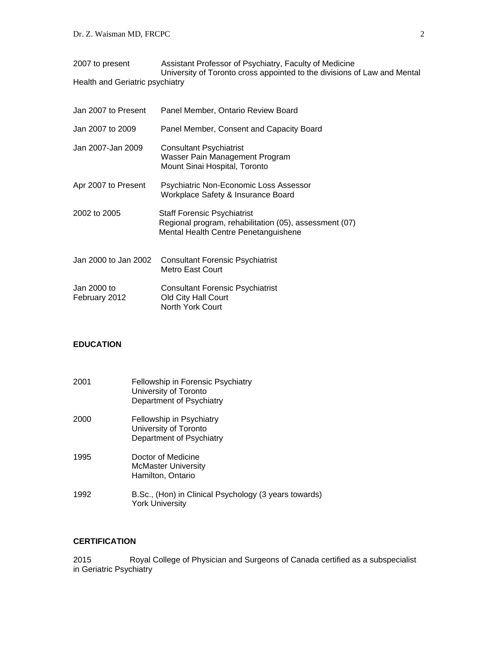| 2007 to present                 | Assistant Professor of Psychiatry, Faculty of Medicine                   |
|---------------------------------|--------------------------------------------------------------------------|
|                                 | University of Toronto cross appointed to the divisions of Law and Mental |
| Health and Geriatric psychiatry |                                                                          |

| Jan 2007 to Present          | Panel Member, Ontario Review Board                                                                                                   |
|------------------------------|--------------------------------------------------------------------------------------------------------------------------------------|
| Jan 2007 to 2009             | Panel Member, Consent and Capacity Board                                                                                             |
| Jan 2007-Jan 2009            | Consultant Psychiatrist<br>Wasser Pain Management Program<br>Mount Sinai Hospital, Toronto                                           |
| Apr 2007 to Present          | Psychiatric Non-Economic Loss Assessor<br>Workplace Safety & Insurance Board                                                         |
| 2002 to 2005                 | <b>Staff Forensic Psychiatrist</b><br>Regional program, rehabilitation (05), assessment (07)<br>Mental Health Centre Penetanguishene |
| Jan 2000 to Jan 2002         | <b>Consultant Forensic Psychiatrist</b><br>Metro East Court                                                                          |
| Jan 2000 to<br>February 2012 | <b>Consultant Forensic Psychiatrist</b><br>Old City Hall Court<br><b>North York Court</b>                                            |

## **EDUCATION**

| 2001 | Fellowship in Forensic Psychiatry<br>University of Toronto<br>Department of Psychiatry |
|------|----------------------------------------------------------------------------------------|
| 2000 | Fellowship in Psychiatry<br>University of Toronto<br>Department of Psychiatry          |
| 1995 | Doctor of Medicine<br><b>McMaster University</b><br>Hamilton, Ontario                  |
| 1992 | B.Sc., (Hon) in Clinical Psychology (3 years towards)<br><b>York University</b>        |

# **CERTIFICATION**

2015 Royal College of Physician and Surgeons of Canada certified as a subspecialist in Geriatric Psychiatry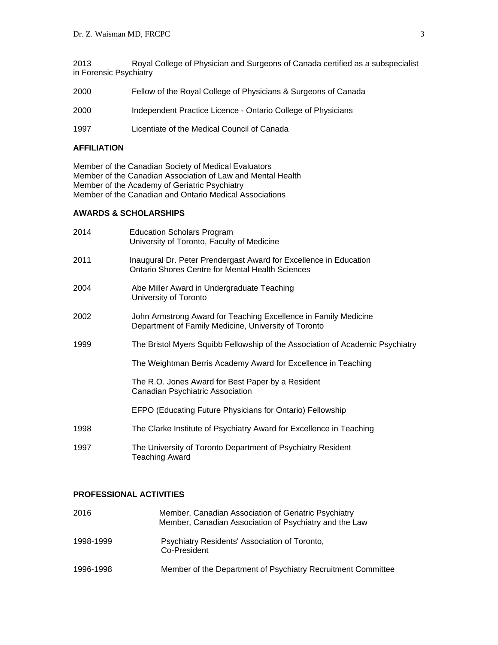2013 Royal College of Physician and Surgeons of Canada certified as a subspecialist in Forensic Psychiatry

| 2000 | Fellow of the Royal College of Physicians & Surgeons of Canada |
|------|----------------------------------------------------------------|
| 2000 | Independent Practice Licence - Ontario College of Physicians   |

1997 Licentiate of the Medical Council of Canada

#### **AFFILIATION**

Member of the Canadian Society of Medical Evaluators Member of the Canadian Association of Law and Mental Health Member of the Academy of Geriatric Psychiatry Member of the Canadian and Ontario Medical Associations

#### **AWARDS & SCHOLARSHIPS**

| 2014 | <b>Education Scholars Program</b><br>University of Toronto, Faculty of Medicine                                              |
|------|------------------------------------------------------------------------------------------------------------------------------|
| 2011 | Inaugural Dr. Peter Prendergast Award for Excellence in Education<br><b>Ontario Shores Centre for Mental Health Sciences</b> |
| 2004 | Abe Miller Award in Undergraduate Teaching<br>University of Toronto                                                          |
| 2002 | John Armstrong Award for Teaching Excellence in Family Medicine<br>Department of Family Medicine, University of Toronto      |
| 1999 | The Bristol Myers Squibb Fellowship of the Association of Academic Psychiatry                                                |
|      | The Weightman Berris Academy Award for Excellence in Teaching                                                                |
|      | The R.O. Jones Award for Best Paper by a Resident<br>Canadian Psychiatric Association                                        |
|      | EFPO (Educating Future Physicians for Ontario) Fellowship                                                                    |
| 1998 | The Clarke Institute of Psychiatry Award for Excellence in Teaching                                                          |
| 1997 | The University of Toronto Department of Psychiatry Resident<br><b>Teaching Award</b>                                         |

## **PROFESSIONAL ACTIVITIES**

| 2016      | Member, Canadian Association of Geriatric Psychiatry<br>Member, Canadian Association of Psychiatry and the Law |
|-----------|----------------------------------------------------------------------------------------------------------------|
| 1998-1999 | Psychiatry Residents' Association of Toronto,<br>Co-President                                                  |
| 1996-1998 | Member of the Department of Psychiatry Recruitment Committee                                                   |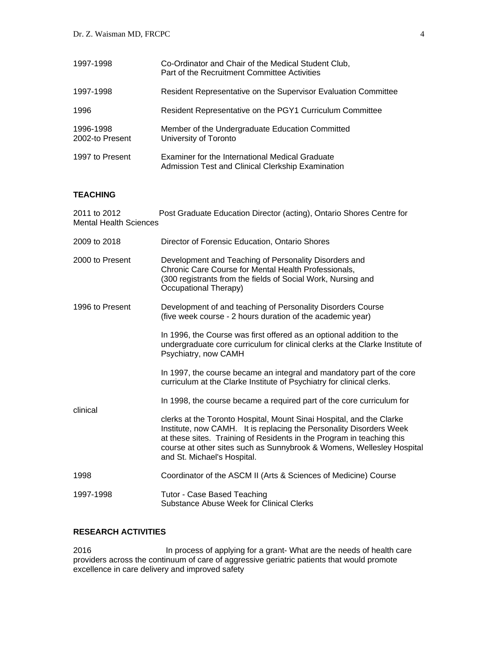| 1997-1998                    | Co-Ordinator and Chair of the Medical Student Club,<br>Part of the Recruitment Committee Activities  |
|------------------------------|------------------------------------------------------------------------------------------------------|
| 1997-1998                    | Resident Representative on the Supervisor Evaluation Committee                                       |
| 1996                         | Resident Representative on the PGY1 Curriculum Committee                                             |
| 1996-1998<br>2002-to Present | Member of the Undergraduate Education Committed<br>University of Toronto                             |
| 1997 to Present              | Examiner for the International Medical Graduate<br>Admission Test and Clinical Clerkship Examination |

## **TEACHING**

| Post Graduate Education Director (acting), Ontario Shores Centre for<br>2011 to 2012<br><b>Mental Health Sciences</b> |                                                                                                                                                                                                                                                                                                                              |  |
|-----------------------------------------------------------------------------------------------------------------------|------------------------------------------------------------------------------------------------------------------------------------------------------------------------------------------------------------------------------------------------------------------------------------------------------------------------------|--|
| 2009 to 2018                                                                                                          | Director of Forensic Education, Ontario Shores                                                                                                                                                                                                                                                                               |  |
| 2000 to Present                                                                                                       | Development and Teaching of Personality Disorders and<br>Chronic Care Course for Mental Health Professionals,<br>(300 registrants from the fields of Social Work, Nursing and<br>Occupational Therapy)                                                                                                                       |  |
| 1996 to Present                                                                                                       | Development of and teaching of Personality Disorders Course<br>(five week course - 2 hours duration of the academic year)                                                                                                                                                                                                    |  |
|                                                                                                                       | In 1996, the Course was first offered as an optional addition to the<br>undergraduate core curriculum for clinical clerks at the Clarke Institute of<br>Psychiatry, now CAMH                                                                                                                                                 |  |
|                                                                                                                       | In 1997, the course became an integral and mandatory part of the core<br>curriculum at the Clarke Institute of Psychiatry for clinical clerks.                                                                                                                                                                               |  |
| clinical                                                                                                              | In 1998, the course became a required part of the core curriculum for                                                                                                                                                                                                                                                        |  |
|                                                                                                                       | clerks at the Toronto Hospital, Mount Sinai Hospital, and the Clarke<br>Institute, now CAMH. It is replacing the Personality Disorders Week<br>at these sites. Training of Residents in the Program in teaching this<br>course at other sites such as Sunnybrook & Womens, Wellesley Hospital<br>and St. Michael's Hospital. |  |
| 1998                                                                                                                  | Coordinator of the ASCM II (Arts & Sciences of Medicine) Course                                                                                                                                                                                                                                                              |  |
| 1997-1998                                                                                                             | Tutor - Case Based Teaching<br><b>Substance Abuse Week for Clinical Clerks</b>                                                                                                                                                                                                                                               |  |

#### **RESEARCH ACTIVITIES**

2016 In process of applying for a grant- What are the needs of health care providers across the continuum of care of aggressive geriatric patients that would promote excellence in care delivery and improved safety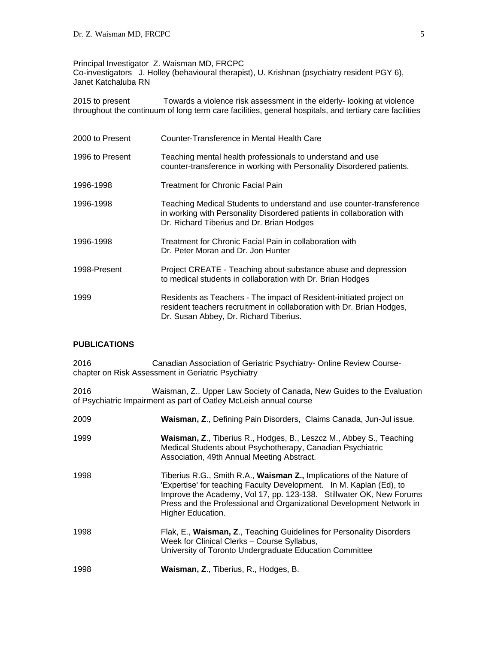### Principal Investigator Z. Waisman MD, FRCPC

Co-investigators J. Holley (behavioural therapist), U. Krishnan (psychiatry resident PGY 6), Janet Katchaluba RN

2015 to present Towards a violence risk assessment in the elderly- looking at violence throughout the continuum of long term care facilities, general hospitals, and tertiary care facilities

| 2000 to Present | Counter-Transference in Mental Health Care                                                                                                                                                 |
|-----------------|--------------------------------------------------------------------------------------------------------------------------------------------------------------------------------------------|
| 1996 to Present | Teaching mental health professionals to understand and use<br>counter-transference in working with Personality Disordered patients.                                                        |
| 1996-1998       | <b>Treatment for Chronic Facial Pain</b>                                                                                                                                                   |
| 1996-1998       | Teaching Medical Students to understand and use counter-transference<br>in working with Personality Disordered patients in collaboration with<br>Dr. Richard Tiberius and Dr. Brian Hodges |
| 1996-1998       | Treatment for Chronic Facial Pain in collaboration with<br>Dr. Peter Moran and Dr. Jon Hunter                                                                                              |
| 1998-Present    | Project CREATE - Teaching about substance abuse and depression<br>to medical students in collaboration with Dr. Brian Hodges                                                               |
| 1999            | Residents as Teachers - The impact of Resident-initiated project on<br>resident teachers recruitment in collaboration with Dr. Brian Hodges,<br>Dr. Susan Abbey, Dr. Richard Tiberius.     |

#### **PUBLICATIONS**

| 2016 | Canadian Association of Geriatric Psychiatry- Online Review Course-<br>chapter on Risk Assessment in Geriatric Psychiatry                                                                                                                                                                                       |
|------|-----------------------------------------------------------------------------------------------------------------------------------------------------------------------------------------------------------------------------------------------------------------------------------------------------------------|
| 2016 | Waisman, Z., Upper Law Society of Canada, New Guides to the Evaluation<br>of Psychiatric Impairment as part of Oatley McLeish annual course                                                                                                                                                                     |
| 2009 | Waisman, Z., Defining Pain Disorders, Claims Canada, Jun-Jul issue.                                                                                                                                                                                                                                             |
| 1999 | Waisman, Z., Tiberius R., Hodges, B., Leszcz M., Abbey S., Teaching<br>Medical Students about Psychotherapy, Canadian Psychiatric<br>Association, 49th Annual Meeting Abstract.                                                                                                                                 |
| 1998 | Tiberius R.G., Smith R.A., Waisman Z., Implications of the Nature of<br>'Expertise' for teaching Faculty Development. In M. Kaplan (Ed), to<br>Improve the Academy, Vol 17, pp. 123-138. Stillwater OK, New Forums<br>Press and the Professional and Organizational Development Network in<br>Higher Education. |
| 1998 | Flak, E., Waisman, Z., Teaching Guidelines for Personality Disorders<br>Week for Clinical Clerks - Course Syllabus,<br>University of Toronto Undergraduate Education Committee                                                                                                                                  |
| 1998 | Waisman, Z., Tiberius, R., Hodges, B.                                                                                                                                                                                                                                                                           |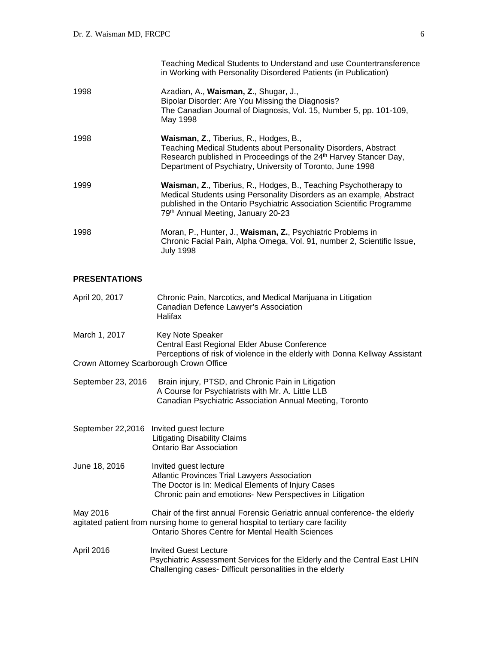|      | Teaching Medical Students to Understand and use Countertransference<br>in Working with Personality Disordered Patients (in Publication)                                                                                                                         |
|------|-----------------------------------------------------------------------------------------------------------------------------------------------------------------------------------------------------------------------------------------------------------------|
| 1998 | Azadian, A., Waisman, Z., Shugar, J.,<br>Bipolar Disorder: Are You Missing the Diagnosis?<br>The Canadian Journal of Diagnosis, Vol. 15, Number 5, pp. 101-109,<br>May 1998                                                                                     |
| 1998 | <b>Waisman, Z., Tiberius, R., Hodges, B.,</b><br>Teaching Medical Students about Personality Disorders, Abstract<br>Research published in Proceedings of the 24 <sup>th</sup> Harvey Stancer Day,<br>Department of Psychiatry, University of Toronto, June 1998 |
| 1999 | Waisman, Z., Tiberius, R., Hodges, B., Teaching Psychotherapy to<br>Medical Students using Personality Disorders as an example, Abstract<br>published in the Ontario Psychiatric Association Scientific Programme<br>79th Annual Meeting, January 20-23         |
| 1998 | Moran, P., Hunter, J., Waisman, Z., Psychiatric Problems in<br>Chronic Facial Pain, Alpha Omega, Vol. 91, number 2, Scientific Issue,<br><b>July 1998</b>                                                                                                       |

## **PRESENTATIONS**

| April 20, 2017     | Chronic Pain, Narcotics, and Medical Marijuana in Litigation<br>Canadian Defence Lawyer's Association<br>Halifax                                                                                                           |
|--------------------|----------------------------------------------------------------------------------------------------------------------------------------------------------------------------------------------------------------------------|
| March 1, 2017      | <b>Key Note Speaker</b><br>Central East Regional Elder Abuse Conference<br>Perceptions of risk of violence in the elderly with Donna Kellway Assistant                                                                     |
|                    | Crown Attorney Scarborough Crown Office                                                                                                                                                                                    |
| September 23, 2016 | Brain injury, PTSD, and Chronic Pain in Litigation<br>A Course for Psychiatrists with Mr. A. Little LLB<br>Canadian Psychiatric Association Annual Meeting, Toronto                                                        |
| September 22,2016  | Invited guest lecture<br><b>Litigating Disability Claims</b><br><b>Ontario Bar Association</b>                                                                                                                             |
| June 18, 2016      | Invited guest lecture<br><b>Atlantic Provinces Trial Lawyers Association</b><br>The Doctor is In: Medical Elements of Injury Cases<br>Chronic pain and emotions- New Perspectives in Litigation                            |
| May 2016           | Chair of the first annual Forensic Geriatric annual conference- the elderly<br>agitated patient from nursing home to general hospital to tertiary care facility<br><b>Ontario Shores Centre for Mental Health Sciences</b> |
| April 2016         | <b>Invited Guest Lecture</b><br>Psychiatric Assessment Services for the Elderly and the Central East LHIN<br>Challenging cases- Difficult personalities in the elderly                                                     |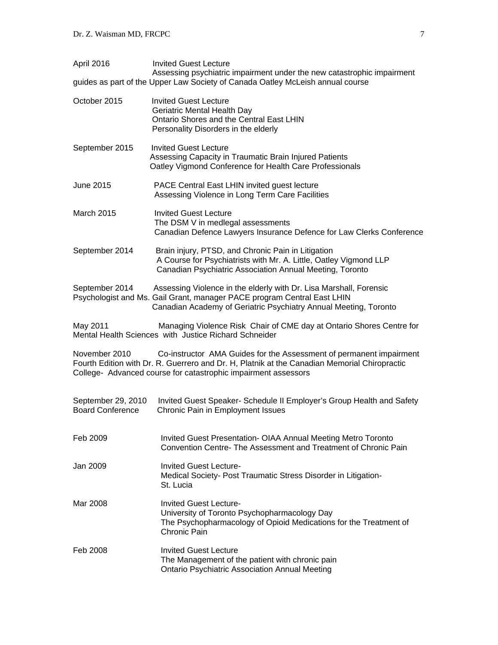| April 2016                                    | <b>Invited Guest Lecture</b><br>Assessing psychiatric impairment under the new catastrophic impairment                                                                                                                                |
|-----------------------------------------------|---------------------------------------------------------------------------------------------------------------------------------------------------------------------------------------------------------------------------------------|
|                                               | guides as part of the Upper Law Society of Canada Oatley McLeish annual course                                                                                                                                                        |
| October 2015                                  | <b>Invited Guest Lecture</b><br>Geriatric Mental Health Day<br>Ontario Shores and the Central East LHIN<br>Personality Disorders in the elderly                                                                                       |
| September 2015                                | <b>Invited Guest Lecture</b><br>Assessing Capacity in Traumatic Brain Injured Patients<br>Oatley Vigmond Conference for Health Care Professionals                                                                                     |
| June 2015                                     | PACE Central East LHIN invited guest lecture<br>Assessing Violence in Long Term Care Facilities                                                                                                                                       |
| <b>March 2015</b>                             | <b>Invited Guest Lecture</b><br>The DSM V in medlegal assessments<br>Canadian Defence Lawyers Insurance Defence for Law Clerks Conference                                                                                             |
| September 2014                                | Brain injury, PTSD, and Chronic Pain in Litigation<br>A Course for Psychiatrists with Mr. A. Little, Oatley Vigmond LLP<br>Canadian Psychiatric Association Annual Meeting, Toronto                                                   |
| September 2014                                | Assessing Violence in the elderly with Dr. Lisa Marshall, Forensic<br>Psychologist and Ms. Gail Grant, manager PACE program Central East LHIN<br>Canadian Academy of Geriatric Psychiatry Annual Meeting, Toronto                     |
| May 2011                                      | Managing Violence Risk Chair of CME day at Ontario Shores Centre for<br>Mental Health Sciences with Justice Richard Schneider                                                                                                         |
| November 2010                                 | Co-instructor AMA Guides for the Assessment of permanent impairment<br>Fourth Edition with Dr. R. Guerrero and Dr. H, Platnik at the Canadian Memorial Chiropractic<br>College- Advanced course for catastrophic impairment assessors |
| September 29, 2010<br><b>Board Conference</b> | Invited Guest Speaker- Schedule II Employer's Group Health and Safety<br>Chronic Pain in Employment Issues                                                                                                                            |
| Feb 2009                                      | Invited Guest Presentation- OIAA Annual Meeting Metro Toronto<br>Convention Centre-The Assessment and Treatment of Chronic Pain                                                                                                       |
| Jan 2009.                                     | <b>Invited Guest Lecture-</b><br>Medical Society- Post Traumatic Stress Disorder in Litigation-<br>St. Lucia                                                                                                                          |
| Mar 2008                                      | <b>Invited Guest Lecture-</b><br>University of Toronto Psychopharmacology Day<br>The Psychopharmacology of Opioid Medications for the Treatment of<br>Chronic Pain                                                                    |
| Feb 2008                                      | <b>Invited Guest Lecture</b><br>The Management of the patient with chronic pain<br><b>Ontario Psychiatric Association Annual Meeting</b>                                                                                              |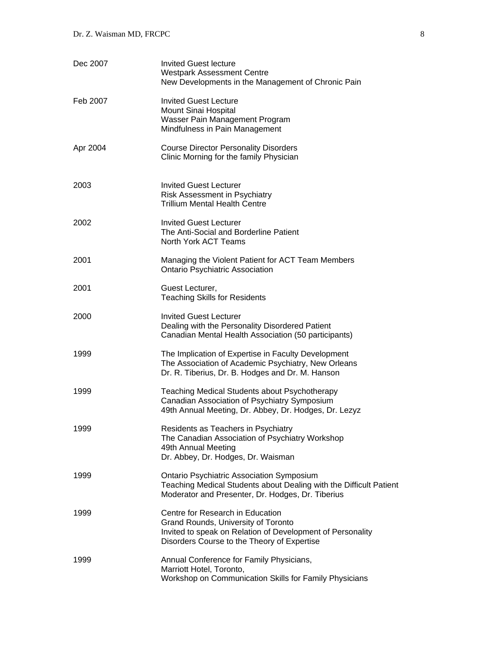| Dec 2007 | <b>Invited Guest lecture</b><br><b>Westpark Assessment Centre</b><br>New Developments in the Management of Chronic Pain                                                              |
|----------|--------------------------------------------------------------------------------------------------------------------------------------------------------------------------------------|
| Feb 2007 | <b>Invited Guest Lecture</b><br>Mount Sinai Hospital<br>Wasser Pain Management Program<br>Mindfulness in Pain Management                                                             |
| Apr 2004 | <b>Course Director Personality Disorders</b><br>Clinic Morning for the family Physician                                                                                              |
| 2003     | <b>Invited Guest Lecturer</b><br>Risk Assessment in Psychiatry<br>Trillium Mental Health Centre                                                                                      |
| 2002     | <b>Invited Guest Lecturer</b><br>The Anti-Social and Borderline Patient<br>North York ACT Teams                                                                                      |
| 2001     | Managing the Violent Patient for ACT Team Members<br><b>Ontario Psychiatric Association</b>                                                                                          |
| 2001     | Guest Lecturer,<br><b>Teaching Skills for Residents</b>                                                                                                                              |
| 2000     | <b>Invited Guest Lecturer</b><br>Dealing with the Personality Disordered Patient<br>Canadian Mental Health Association (50 participants)                                             |
| 1999     | The Implication of Expertise in Faculty Development<br>The Association of Academic Psychiatry, New Orleans<br>Dr. R. Tiberius, Dr. B. Hodges and Dr. M. Hanson                       |
| 1999     | <b>Teaching Medical Students about Psychotherapy</b><br>Canadian Association of Psychiatry Symposium<br>49th Annual Meeting, Dr. Abbey, Dr. Hodges, Dr. Lezyz                        |
| 1999     | Residents as Teachers in Psychiatry<br>The Canadian Association of Psychiatry Workshop<br>49th Annual Meeting<br>Dr. Abbey, Dr. Hodges, Dr. Waisman                                  |
| 1999     | Ontario Psychiatric Association Symposium<br>Teaching Medical Students about Dealing with the Difficult Patient<br>Moderator and Presenter, Dr. Hodges, Dr. Tiberius                 |
| 1999     | Centre for Research in Education<br>Grand Rounds, University of Toronto<br>Invited to speak on Relation of Development of Personality<br>Disorders Course to the Theory of Expertise |
| 1999     | Annual Conference for Family Physicians,<br>Marriott Hotel, Toronto,<br>Workshop on Communication Skills for Family Physicians                                                       |